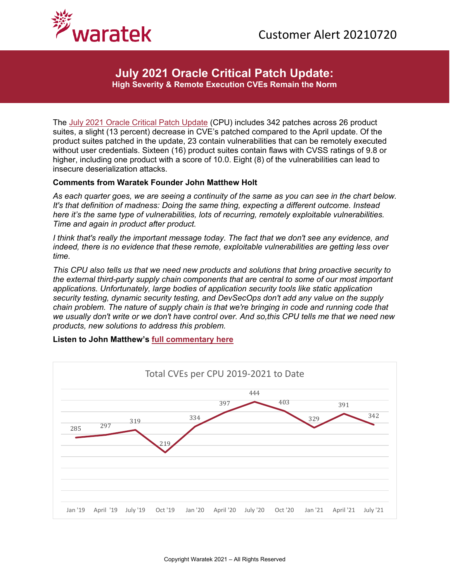

**July 2021 Oracle Critical Patch Update: High Severity & Remote Execution CVEs Remain the Norm**

The [July 2021 Oracle Critical Patch Update](https://www.oracle.com/security-alerts/cpujul2021.html) (CPU) includes 342 patches across 26 product suites, a slight (13 percent) decrease in CVE's patched compared to the April update. Of the product suites patched in the update, 23 contain vulnerabilities that can be remotely executed without user credentials. Sixteen (16) product suites contain flaws with CVSS ratings of 9.8 or higher, including one product with a score of 10.0. Eight (8) of the vulnerabilities can lead to insecure deserialization attacks.

## **Comments from Waratek Founder John Matthew Holt**

*As each quarter goes, we are seeing a continuity of the same as you can see in the chart below. It's that definition of madness: Doing the same thing, expecting a different outcome. Instead here it's the same type of vulnerabilities, lots of recurring, remotely exploitable vulnerabilities. Time and again in product after product.* 

*I think that's really the important message today. The fact that we don't see any evidence, and indeed, there is no evidence that these remote, exploitable vulnerabilities are getting less over time.*

*This CPU also tells us that we need new products and solutions that bring proactive security to the external third-party supply chain components that are central to some of our most important applications. Unfortunately, large bodies of application security tools like static application security testing, dynamic security testing, and DevSecOps don't add any value on the supply chain problem. The nature of supply chain is that we're bringing in code and running code that we usually don't write or we don't have control over. And so,this CPU tells me that we need new products, new solutions to address this problem.* 

## **Listen to John Matthew's [full commentary here](https://www.waratek.com/wp-content/uploads/2021/07/20210720-July-21-Oracle-CPU-Edited.mp3)**